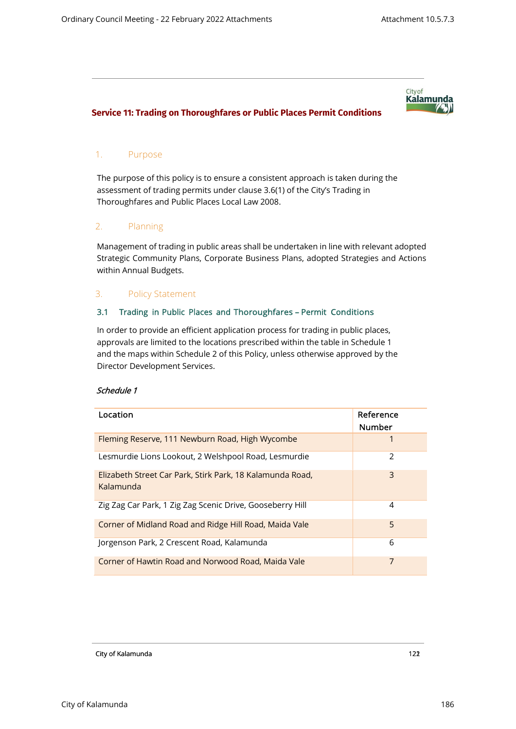# City of **Kalamunda**

## **Service 11: Trading on Thoroughfares or Public Places Permit Conditions**

### 1. Purpose

The purpose of this policy is to ensure a consistent approach is taken during the assessment of trading permits under clause 3.6(1) of the City's Trading in Thoroughfares and Public Places Local Law 2008.

## 2. Planning

Management of trading in public areas shall be undertaken in line with relevant adopted Strategic Community Plans, Corporate Business Plans, adopted Strategies and Actions within Annual Budgets.

### 3. Policy Statement

### 3.1 Trading in Public Places and Thoroughfares – Permit Conditions

In order to provide an efficient application process for trading in public places, approvals are limited to the locations prescribed within the table in Schedule 1 and the maps within Schedule 2 of this Policy, unless otherwise approved by the Director Development Services.

#### Schedule 1

| Location                                                               | Reference<br><b>Number</b> |
|------------------------------------------------------------------------|----------------------------|
| Fleming Reserve, 111 Newburn Road, High Wycombe                        |                            |
| Lesmurdie Lions Lookout, 2 Welshpool Road, Lesmurdie                   | 2                          |
| Elizabeth Street Car Park, Stirk Park, 18 Kalamunda Road,<br>Kalamunda | 3                          |
| Zig Zag Car Park, 1 Zig Zag Scenic Drive, Gooseberry Hill              | 4                          |
| Corner of Midland Road and Ridge Hill Road, Maida Vale                 | 5                          |
| Jorgenson Park, 2 Crescent Road, Kalamunda                             | 6                          |
| Corner of Hawtin Road and Norwood Road, Maida Vale                     | 7                          |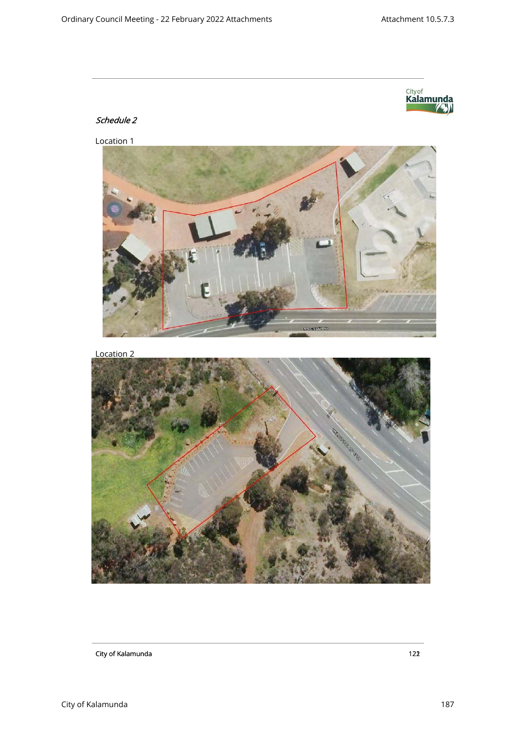

# Schedule 2

Location 1



Location 2

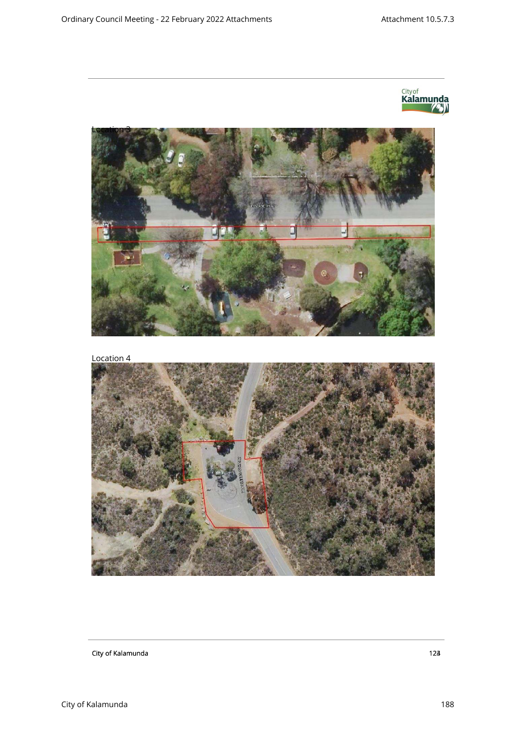

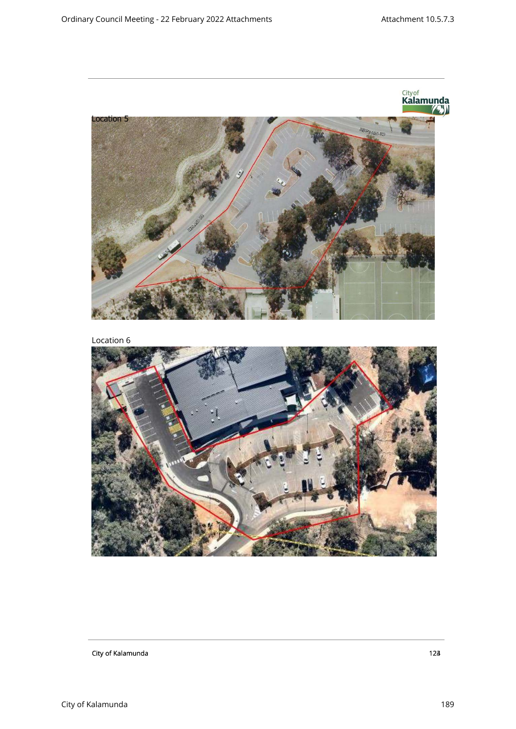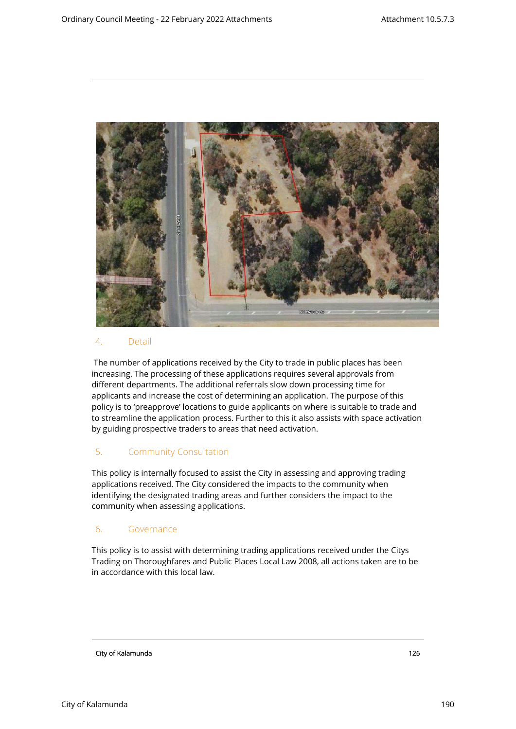

#### 4. Detail

The number of applications received by the City to trade in public places has been increasing. The processing of these applications requires several approvals from different departments. The additional referrals slow down processing time for applicants and increase the cost of determining an application. The purpose of this policy is to 'preapprove' locations to guide applicants on where is suitable to trade and to streamline the application process. Further to this it also assists with space activation by guiding prospective traders to areas that need activation.

# 5. Community Consultation

This policy is internally focused to assist the City in assessing and approving trading applications received. The City considered the impacts to the community when identifying the designated trading areas and further considers the impact to the community when assessing applications.

## 6. Governance

This policy is to assist with determining trading applications received under the Citys Trading on Thoroughfares and Public Places Local Law 2008, all actions taken are to be in accordance with this local law.